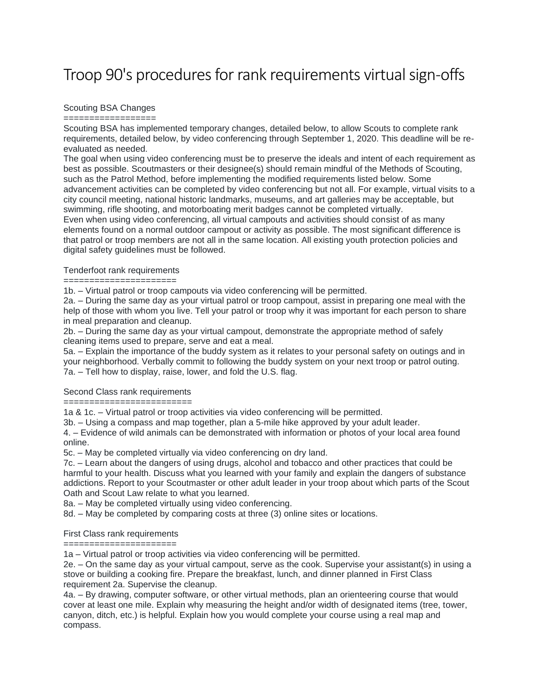# Troop 90's procedures for rank requirements virtual sign-offs

## Scouting BSA Changes

==================

Scouting BSA has implemented temporary changes, detailed below, to allow Scouts to complete rank requirements, detailed below, by video conferencing through September 1, 2020. This deadline will be reevaluated as needed.

The goal when using video conferencing must be to preserve the ideals and intent of each requirement as best as possible. Scoutmasters or their designee(s) should remain mindful of the Methods of Scouting, such as the Patrol Method, before implementing the modified requirements listed below. Some advancement activities can be completed by video conferencing but not all. For example, virtual visits to a city council meeting, national historic landmarks, museums, and art galleries may be acceptable, but swimming, rifle shooting, and motorboating merit badges cannot be completed virtually.

Even when using video conferencing, all virtual campouts and activities should consist of as many elements found on a normal outdoor campout or activity as possible. The most significant difference is that patrol or troop members are not all in the same location. All existing youth protection policies and digital safety guidelines must be followed.

# Tenderfoot rank requirements

======================

1b. – Virtual patrol or troop campouts via video conferencing will be permitted.

2a. – During the same day as your virtual patrol or troop campout, assist in preparing one meal with the help of those with whom you live. Tell your patrol or troop why it was important for each person to share in meal preparation and cleanup.

2b. – During the same day as your virtual campout, demonstrate the appropriate method of safely cleaning items used to prepare, serve and eat a meal.

5a. – Explain the importance of the buddy system as it relates to your personal safety on outings and in your neighborhood. Verbally commit to following the buddy system on your next troop or patrol outing. 7a. – Tell how to display, raise, lower, and fold the U.S. flag.

# Second Class rank requirements

==========================

1a & 1c. – Virtual patrol or troop activities via video conferencing will be permitted.

3b. – Using a compass and map together, plan a 5-mile hike approved by your adult leader.

4. – Evidence of wild animals can be demonstrated with information or photos of your local area found online.

5c. – May be completed virtually via video conferencing on dry land.

7c. – Learn about the dangers of using drugs, alcohol and tobacco and other practices that could be harmful to your health. Discuss what you learned with your family and explain the dangers of substance addictions. Report to your Scoutmaster or other adult leader in your troop about which parts of the Scout Oath and Scout Law relate to what you learned.

8a. – May be completed virtually using video conferencing.

8d. – May be completed by comparing costs at three (3) online sites or locations.

#### First Class rank requirements ======================

1a – Virtual patrol or troop activities via video conferencing will be permitted.

2e. – On the same day as your virtual campout, serve as the cook. Supervise your assistant(s) in using a stove or building a cooking fire. Prepare the breakfast, lunch, and dinner planned in First Class requirement 2a. Supervise the cleanup.

4a. – By drawing, computer software, or other virtual methods, plan an orienteering course that would cover at least one mile. Explain why measuring the height and/or width of designated items (tree, tower, canyon, ditch, etc.) is helpful. Explain how you would complete your course using a real map and compass.